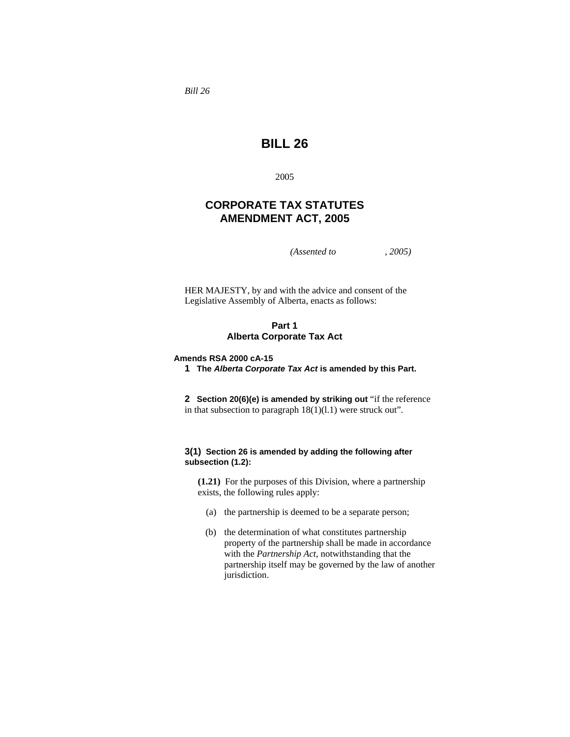*Bill 26* 

# **BILL 26**

2005

# **CORPORATE TAX STATUTES AMENDMENT ACT, 2005**

*(Assented to , 2005)* 

HER MAJESTY, by and with the advice and consent of the Legislative Assembly of Alberta, enacts as follows:

# **Part 1 Alberta Corporate Tax Act**

# **Amends RSA 2000 cA-15**

**1 The** *Alberta Corporate Tax Act* **is amended by this Part.** 

**2 Section 20(6)(e) is amended by striking out** "if the reference in that subsection to paragraph  $18(1)(1.1)$  were struck out".

# **3(1) Section 26 is amended by adding the following after subsection (1.2):**

**(1.21)** For the purposes of this Division, where a partnership exists, the following rules apply:

- (a) the partnership is deemed to be a separate person;
- (b) the determination of what constitutes partnership property of the partnership shall be made in accordance with the *Partnership Act*, notwithstanding that the partnership itself may be governed by the law of another jurisdiction.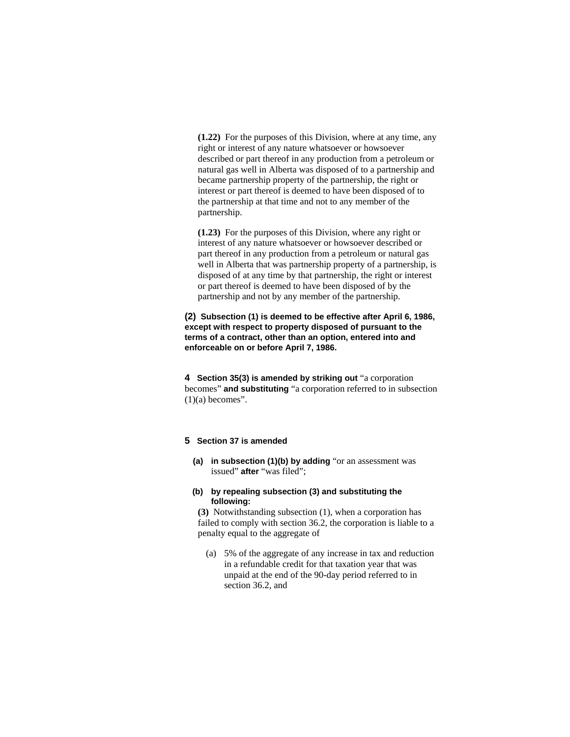**(1.22)** For the purposes of this Division, where at any time, any right or interest of any nature whatsoever or howsoever described or part thereof in any production from a petroleum or natural gas well in Alberta was disposed of to a partnership and became partnership property of the partnership, the right or interest or part thereof is deemed to have been disposed of to the partnership at that time and not to any member of the partnership.

**(1.23)** For the purposes of this Division, where any right or interest of any nature whatsoever or howsoever described or part thereof in any production from a petroleum or natural gas well in Alberta that was partnership property of a partnership, is disposed of at any time by that partnership, the right or interest or part thereof is deemed to have been disposed of by the partnership and not by any member of the partnership.

# **(2) Subsection (1) is deemed to be effective after April 6, 1986, except with respect to property disposed of pursuant to the terms of a contract, other than an option, entered into and enforceable on or before April 7, 1986.**

**4 Section 35(3) is amended by striking out** "a corporation becomes" **and substituting** "a corporation referred to in subsection  $(1)(a)$  becomes".

# **5 Section 37 is amended**

**(a) in subsection (1)(b) by adding** "or an assessment was issued" **after** "was filed";

### **(b) by repealing subsection (3) and substituting the following:**

**(3)** Notwithstanding subsection (1), when a corporation has failed to comply with section 36.2, the corporation is liable to a penalty equal to the aggregate of

 (a) 5% of the aggregate of any increase in tax and reduction in a refundable credit for that taxation year that was unpaid at the end of the 90-day period referred to in section 36.2, and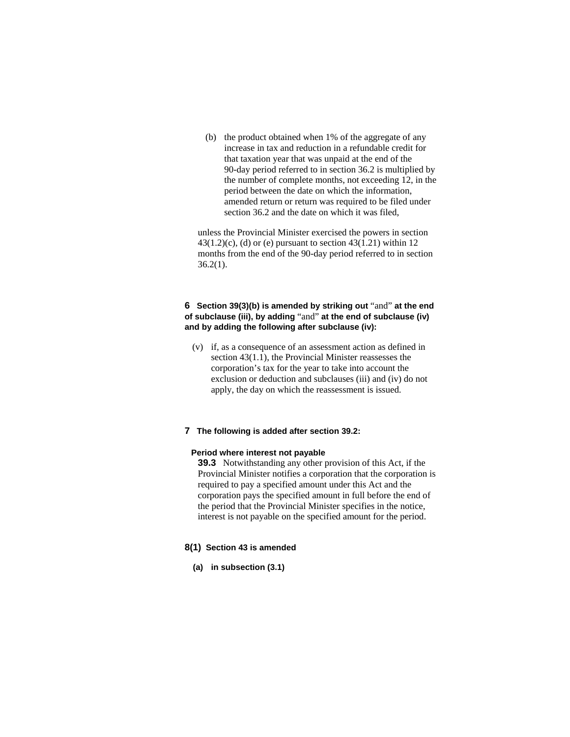(b) the product obtained when 1% of the aggregate of any increase in tax and reduction in a refundable credit for that taxation year that was unpaid at the end of the 90-day period referred to in section 36.2 is multiplied by the number of complete months, not exceeding 12, in the period between the date on which the information, amended return or return was required to be filed under section 36.2 and the date on which it was filed,

unless the Provincial Minister exercised the powers in section  $43(1.2)(c)$ , (d) or (e) pursuant to section  $43(1.21)$  within 12 months from the end of the 90-day period referred to in section 36.2(1).

# **6 Section 39(3)(b) is amended by striking out** "and" **at the end of subclause (iii), by adding** "and" **at the end of subclause (iv) and by adding the following after subclause (iv):**

 (v) if, as a consequence of an assessment action as defined in section 43(1.1), the Provincial Minister reassesses the corporation's tax for the year to take into account the exclusion or deduction and subclauses (iii) and (iv) do not apply, the day on which the reassessment is issued.

# **7 The following is added after section 39.2:**

### **Period where interest not payable**

**39.3** Notwithstanding any other provision of this Act, if the Provincial Minister notifies a corporation that the corporation is required to pay a specified amount under this Act and the corporation pays the specified amount in full before the end of the period that the Provincial Minister specifies in the notice, interest is not payable on the specified amount for the period.

## **8(1) Section 43 is amended**

**(a) in subsection (3.1)**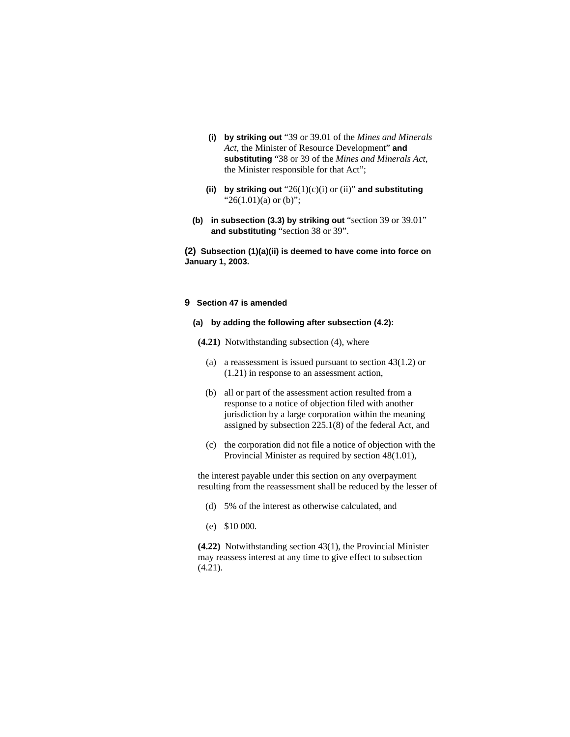- **(i) by striking out** "39 or 39.01 of the *Mines and Minerals Act*, the Minister of Resource Development" **and substituting** "38 or 39 of the *Mines and Minerals Act*, the Minister responsible for that Act";
- **(ii) by striking out** "26(1)(c)(i) or (ii)" **and substituting**  " $26(1.01)(a)$  or (b)";
- **(b) in subsection (3.3) by striking out** "section 39 or 39.01" **and substituting** "section 38 or 39".

**(2) Subsection (1)(a)(ii) is deemed to have come into force on January 1, 2003.**

# **9 Section 47 is amended**

# **(a) by adding the following after subsection (4.2):**

- **(4.21)** Notwithstanding subsection (4), where
	- (a) a reassessment is issued pursuant to section 43(1.2) or (1.21) in response to an assessment action,
	- (b) all or part of the assessment action resulted from a response to a notice of objection filed with another jurisdiction by a large corporation within the meaning assigned by subsection 225.1(8) of the federal Act, and
	- (c) the corporation did not file a notice of objection with the Provincial Minister as required by section 48(1.01),

the interest payable under this section on any overpayment resulting from the reassessment shall be reduced by the lesser of

- (d) 5% of the interest as otherwise calculated, and
- (e) \$10 000.

**(4.22)** Notwithstanding section 43(1), the Provincial Minister may reassess interest at any time to give effect to subsection  $(4.21)$ .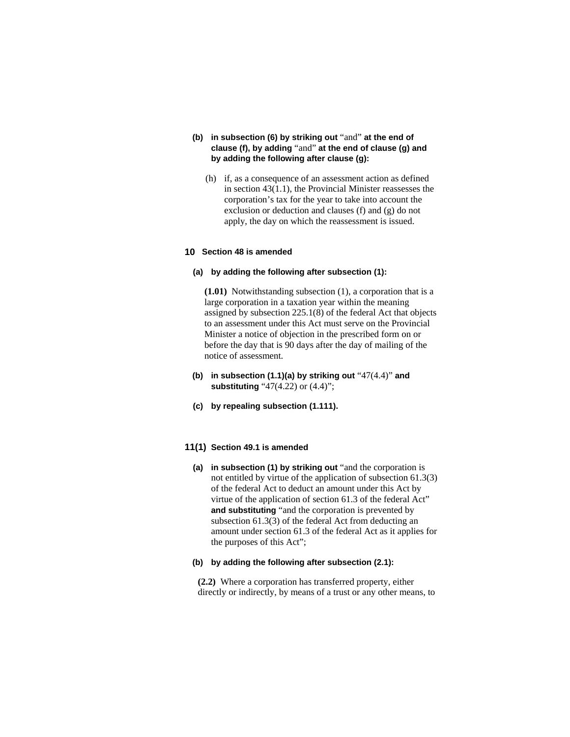- **(b) in subsection (6) by striking out** "and" **at the end of clause (f), by adding** "and" **at the end of clause (g) and by adding the following after clause (g):** 
	- (h) if, as a consequence of an assessment action as defined in section 43(1.1), the Provincial Minister reassesses the corporation's tax for the year to take into account the exclusion or deduction and clauses (f) and (g) do not apply, the day on which the reassessment is issued.

# **10 Section 48 is amended**

### **(a) by adding the following after subsection (1):**

**(1.01)** Notwithstanding subsection (1), a corporation that is a large corporation in a taxation year within the meaning assigned by subsection 225.1(8) of the federal Act that objects to an assessment under this Act must serve on the Provincial Minister a notice of objection in the prescribed form on or before the day that is 90 days after the day of mailing of the notice of assessment.

- **(b) in subsection (1.1)(a) by striking out** "47(4.4)" **and substituting** "47(4.22) or (4.4)";
- **(c) by repealing subsection (1.111).**

### **11(1) Section 49.1 is amended**

**(a) in subsection (1) by striking out** "and the corporation is not entitled by virtue of the application of subsection 61.3(3) of the federal Act to deduct an amount under this Act by virtue of the application of section 61.3 of the federal Act" **and substituting** "and the corporation is prevented by subsection 61.3(3) of the federal Act from deducting an amount under section 61.3 of the federal Act as it applies for the purposes of this Act";

### **(b) by adding the following after subsection (2.1):**

**(2.2)** Where a corporation has transferred property, either directly or indirectly, by means of a trust or any other means, to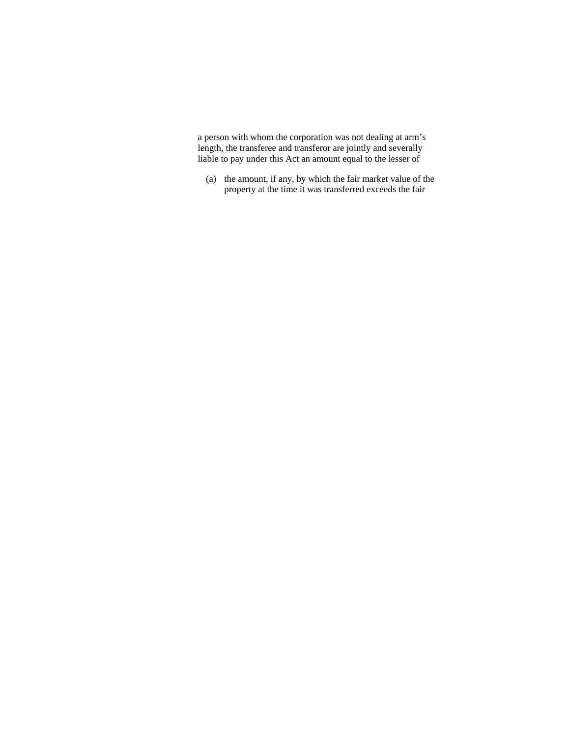a person with whom the corporation was not dealing at arm's length, the transferee and transferor are jointly and severally liable to pay under this Act an amount equal to the lesser of

 (a) the amount, if any, by which the fair market value of the property at the time it was transferred exceeds the fair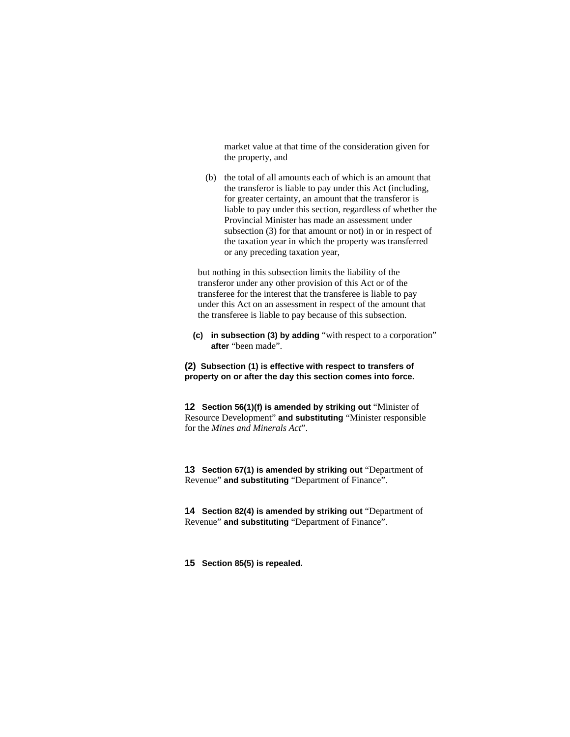market value at that time of the consideration given for the property, and

 (b) the total of all amounts each of which is an amount that the transferor is liable to pay under this Act (including, for greater certainty, an amount that the transferor is liable to pay under this section, regardless of whether the Provincial Minister has made an assessment under subsection (3) for that amount or not) in or in respect of the taxation year in which the property was transferred or any preceding taxation year,

but nothing in this subsection limits the liability of the transferor under any other provision of this Act or of the transferee for the interest that the transferee is liable to pay under this Act on an assessment in respect of the amount that the transferee is liable to pay because of this subsection.

**(c) in subsection (3) by adding** "with respect to a corporation" **after** "been made".

**(2) Subsection (1) is effective with respect to transfers of property on or after the day this section comes into force.**

**12 Section 56(1)(f) is amended by striking out "Minister of** Resource Development" **and substituting** "Minister responsible for the *Mines and Minerals Act*".

**13 Section 67(1) is amended by striking out** "Department of Revenue" **and substituting** "Department of Finance".

**14 Section 82(4) is amended by striking out** "Department of Revenue" **and substituting** "Department of Finance".

**15 Section 85(5) is repealed.**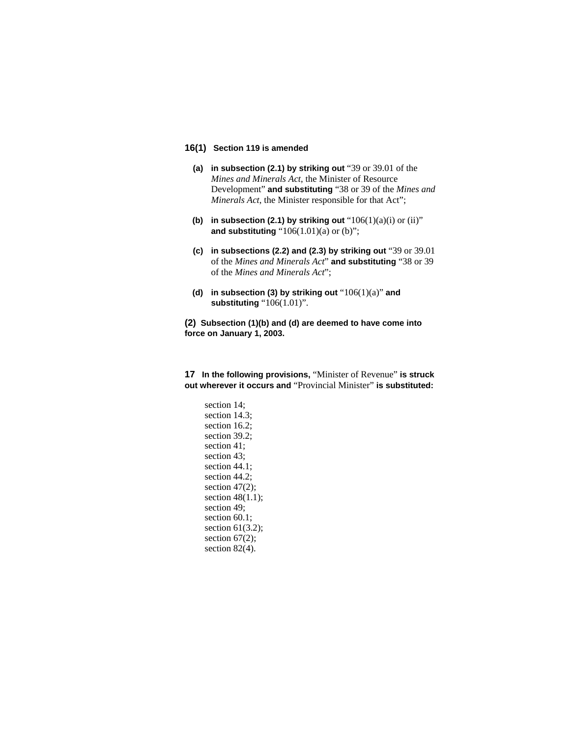# **16(1) Section 119 is amended**

- **(a) in subsection (2.1) by striking out** "39 or 39.01 of the *Mines and Minerals Act*, the Minister of Resource Development" **and substituting** "38 or 39 of the *Mines and Minerals Act*, the Minister responsible for that Act";
- **(b)** in subsection (2.1) by striking out  $"106(1)(a)(i)$  or  $(ii)"$ **and substituting** "106(1.01)(a) or (b)";
- **(c) in subsections (2.2) and (2.3) by striking out** "39 or 39.01 of the *Mines and Minerals Act*" **and substituting** "38 or 39 of the *Mines and Minerals Act*";
- **(d) in subsection (3) by striking out** "106(1)(a)" **and substituting** "106(1.01)".

**(2) Subsection (1)(b) and (d) are deemed to have come into force on January 1, 2003.**

**17 In the following provisions,** "Minister of Revenue" **is struck out wherever it occurs and** "Provincial Minister" **is substituted:** 

section 14; section 14.3; section 16.2; section 39.2; section 41; section 43; section 44.1; section 44.2; section 47(2); section 48(1.1); section 49; section 60.1; section 61(3.2); section  $67(2)$ ; section 82(4).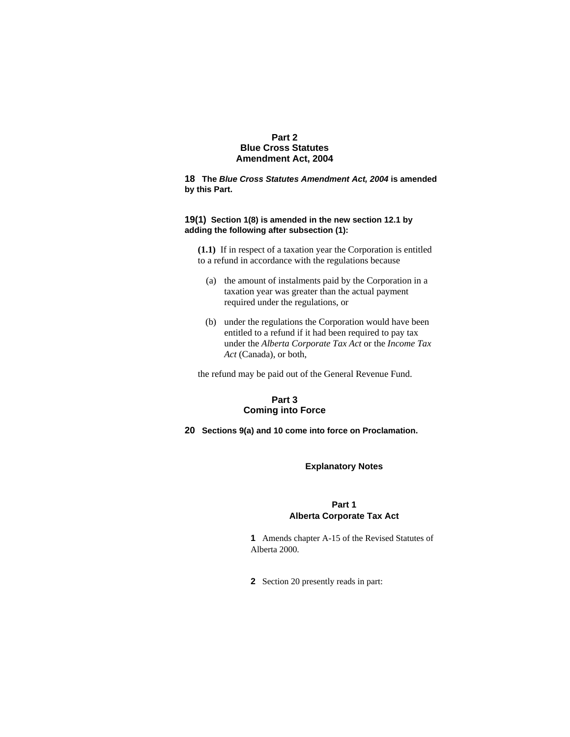# **Part 2 Blue Cross Statutes Amendment Act, 2004**

**18 The** *Blue Cross Statutes Amendment Act, 2004* **is amended by this Part.** 

# **19(1) Section 1(8) is amended in the new section 12.1 by adding the following after subsection (1):**

**(1.1)** If in respect of a taxation year the Corporation is entitled to a refund in accordance with the regulations because

- (a) the amount of instalments paid by the Corporation in a taxation year was greater than the actual payment required under the regulations, or
- (b) under the regulations the Corporation would have been entitled to a refund if it had been required to pay tax under the *Alberta Corporate Tax Act* or the *Income Tax Act* (Canada), or both,

the refund may be paid out of the General Revenue Fund.

# **Part 3 Coming into Force**

**20 Sections 9(a) and 10 come into force on Proclamation.** 

## **Explanatory Notes**

# **Part 1 Alberta Corporate Tax Act**

**1** Amends chapter A-15 of the Revised Statutes of Alberta 2000.

**2** Section 20 presently reads in part: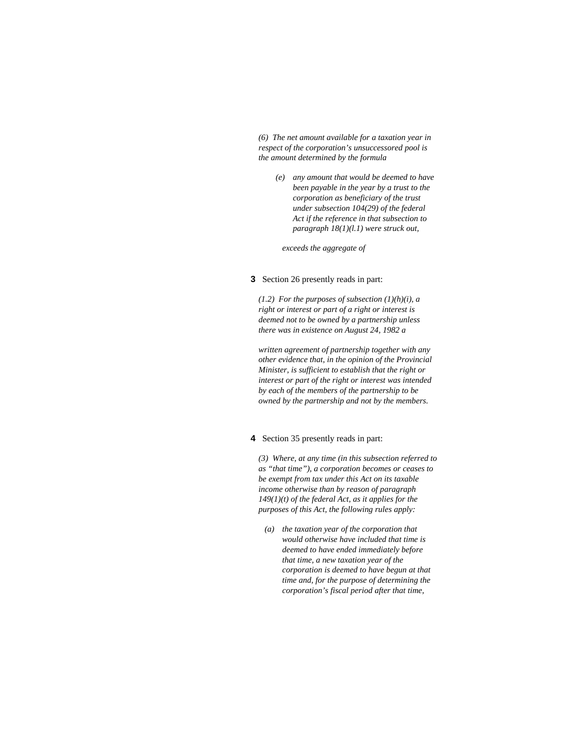*(6) The net amount available for a taxation year in respect of the corporation's unsuccessored pool is the amount determined by the formula* 

 *(e) any amount that would be deemed to have been payable in the year by a trust to the corporation as beneficiary of the trust under subsection 104(29) of the federal Act if the reference in that subsection to paragraph 18(1)(l.1) were struck out,* 

 *exceeds the aggregate of* 

### **3** Section 26 presently reads in part:

*(1.2) For the purposes of subsection (1)(h)(i), a right or interest or part of a right or interest is deemed not to be owned by a partnership unless there was in existence on August 24, 1982 a* 

*written agreement of partnership together with any other evidence that, in the opinion of the Provincial Minister, is sufficient to establish that the right or interest or part of the right or interest was intended by each of the members of the partnership to be owned by the partnership and not by the members.* 

### **4** Section 35 presently reads in part:

*(3) Where, at any time (in this subsection referred to as "that time"), a corporation becomes or ceases to be exempt from tax under this Act on its taxable income otherwise than by reason of paragraph 149(1)(t) of the federal Act, as it applies for the purposes of this Act, the following rules apply:* 

 *(a) the taxation year of the corporation that would otherwise have included that time is deemed to have ended immediately before that time, a new taxation year of the corporation is deemed to have begun at that time and, for the purpose of determining the corporation's fiscal period after that time,*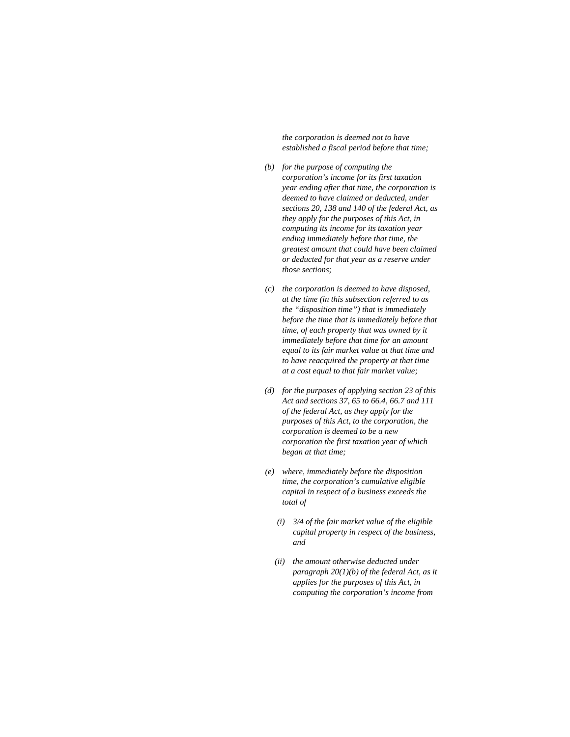*the corporation is deemed not to have established a fiscal period before that time;* 

- *(b) for the purpose of computing the corporation's income for its first taxation year ending after that time, the corporation is deemed to have claimed or deducted, under sections 20, 138 and 140 of the federal Act, as they apply for the purposes of this Act, in computing its income for its taxation year ending immediately before that time, the greatest amount that could have been claimed or deducted for that year as a reserve under those sections;*
- *(c) the corporation is deemed to have disposed, at the time (in this subsection referred to as the "disposition time") that is immediately before the time that is immediately before that time, of each property that was owned by it immediately before that time for an amount equal to its fair market value at that time and to have reacquired the property at that time at a cost equal to that fair market value;*
- *(d) for the purposes of applying section 23 of this Act and sections 37, 65 to 66.4, 66.7 and 111 of the federal Act, as they apply for the purposes of this Act, to the corporation, the corporation is deemed to be a new corporation the first taxation year of which began at that time;*
- *(e) where, immediately before the disposition time, the corporation's cumulative eligible capital in respect of a business exceeds the total of* 
	- *(i) 3/4 of the fair market value of the eligible capital property in respect of the business, and*
	- *(ii) the amount otherwise deducted under paragraph 20(1)(b) of the federal Act, as it applies for the purposes of this Act, in computing the corporation's income from*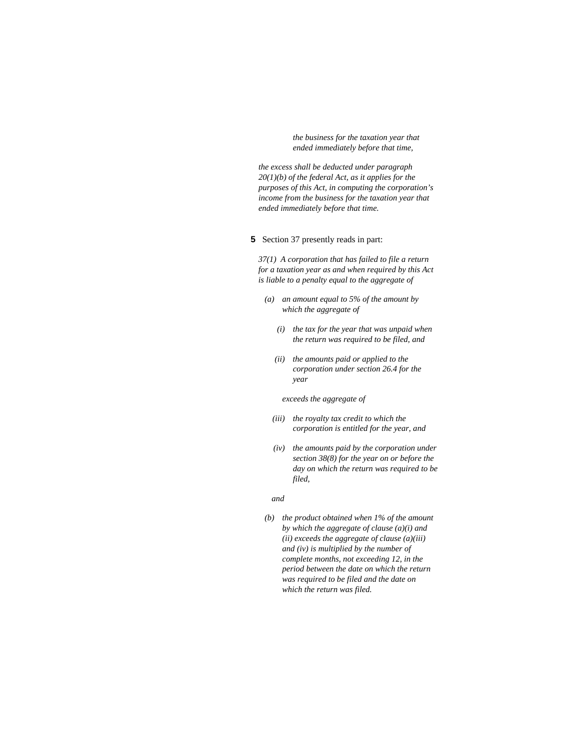*the business for the taxation year that ended immediately before that time,* 

*the excess shall be deducted under paragraph 20(1)(b) of the federal Act, as it applies for the purposes of this Act, in computing the corporation's income from the business for the taxation year that ended immediately before that time.* 

### **5** Section 37 presently reads in part:

*37(1) A corporation that has failed to file a return for a taxation year as and when required by this Act is liable to a penalty equal to the aggregate of* 

- *(a) an amount equal to 5% of the amount by which the aggregate of* 
	- *(i) the tax for the year that was unpaid when the return was required to be filed, and*
	- *(ii) the amounts paid or applied to the corporation under section 26.4 for the year*

 *exceeds the aggregate of* 

- *(iii) the royalty tax credit to which the corporation is entitled for the year, and*
- *(iv) the amounts paid by the corporation under section 38(8) for the year on or before the day on which the return was required to be filed,*

#### *and*

 *(b) the product obtained when 1% of the amount by which the aggregate of clause (a)(i) and (ii) exceeds the aggregate of clause (a)(iii) and (iv) is multiplied by the number of complete months, not exceeding 12, in the period between the date on which the return was required to be filed and the date on which the return was filed.*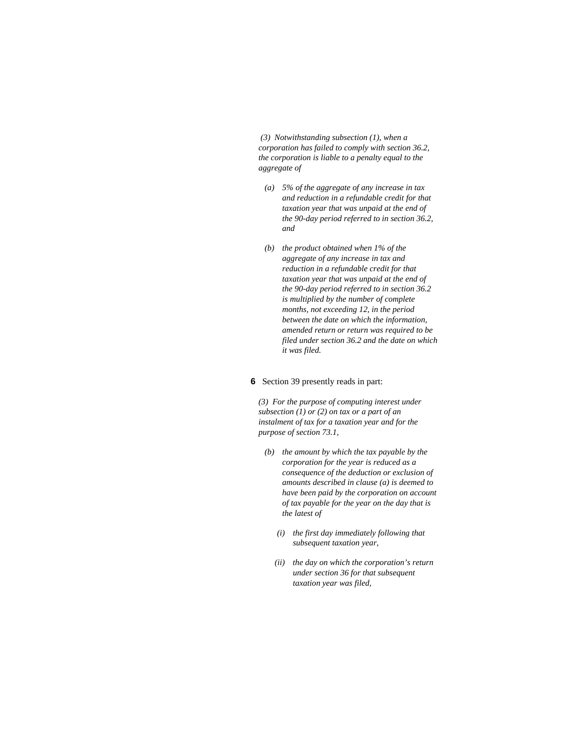*(3) Notwithstanding subsection (1), when a corporation has failed to comply with section 36.2, the corporation is liable to a penalty equal to the aggregate of* 

- *(a) 5% of the aggregate of any increase in tax and reduction in a refundable credit for that taxation year that was unpaid at the end of the 90-day period referred to in section 36.2, and*
- *(b) the product obtained when 1% of the aggregate of any increase in tax and reduction in a refundable credit for that taxation year that was unpaid at the end of the 90-day period referred to in section 36.2 is multiplied by the number of complete months, not exceeding 12, in the period between the date on which the information, amended return or return was required to be filed under section 36.2 and the date on which it was filed.*

### **6** Section 39 presently reads in part:

*(3) For the purpose of computing interest under subsection (1) or (2) on tax or a part of an instalment of tax for a taxation year and for the purpose of section 73.1,* 

- *(b) the amount by which the tax payable by the corporation for the year is reduced as a consequence of the deduction or exclusion of amounts described in clause (a) is deemed to have been paid by the corporation on account of tax payable for the year on the day that is the latest of* 
	- *(i) the first day immediately following that subsequent taxation year,*
	- *(ii) the day on which the corporation's return under section 36 for that subsequent taxation year was filed,*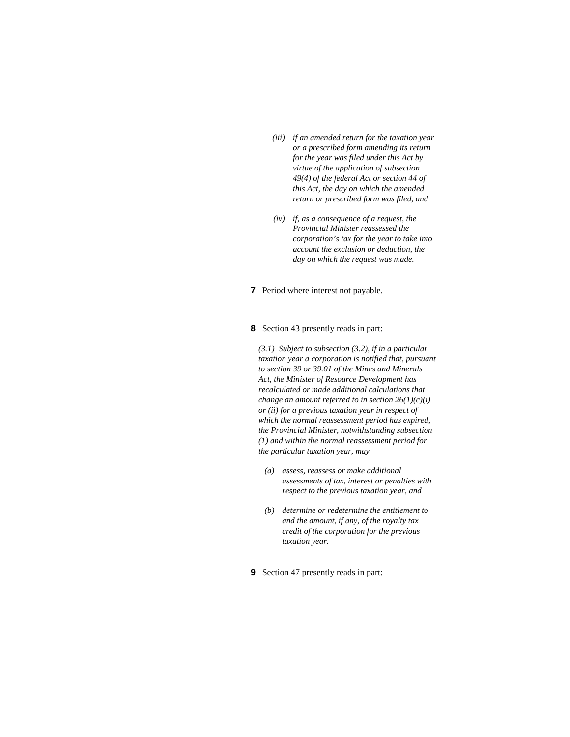- *(iii) if an amended return for the taxation year or a prescribed form amending its return for the year was filed under this Act by virtue of the application of subsection 49(4) of the federal Act or section 44 of this Act, the day on which the amended return or prescribed form was filed, and*
- *(iv) if, as a consequence of a request, the Provincial Minister reassessed the corporation's tax for the year to take into account the exclusion or deduction, the day on which the request was made.*
- **7** Period where interest not payable.

# **8** Section 43 presently reads in part:

*(3.1) Subject to subsection (3.2), if in a particular taxation year a corporation is notified that, pursuant to section 39 or 39.01 of the Mines and Minerals Act, the Minister of Resource Development has recalculated or made additional calculations that change an amount referred to in section 26(1)(c)(i) or (ii) for a previous taxation year in respect of which the normal reassessment period has expired, the Provincial Minister, notwithstanding subsection (1) and within the normal reassessment period for the particular taxation year, may* 

- *(a) assess, reassess or make additional assessments of tax, interest or penalties with respect to the previous taxation year, and*
- *(b) determine or redetermine the entitlement to and the amount, if any, of the royalty tax credit of the corporation for the previous taxation year.*
- **9** Section 47 presently reads in part: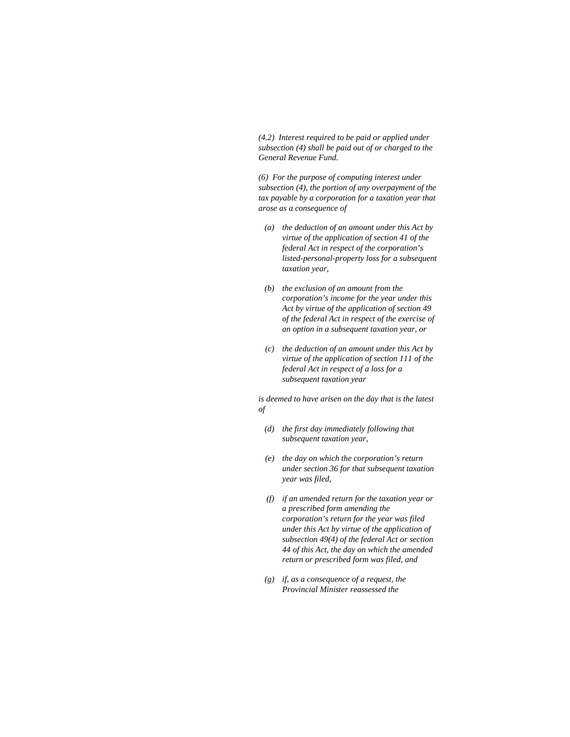*(4.2) Interest required to be paid or applied under subsection (4) shall be paid out of or charged to the General Revenue Fund.* 

*(6) For the purpose of computing interest under subsection (4), the portion of any overpayment of the tax payable by a corporation for a taxation year that arose as a consequence of* 

- *(a) the deduction of an amount under this Act by virtue of the application of section 41 of the federal Act in respect of the corporation's listed-personal-property loss for a subsequent taxation year,*
- *(b) the exclusion of an amount from the corporation's income for the year under this Act by virtue of the application of section 49 of the federal Act in respect of the exercise of an option in a subsequent taxation year, or*
- *(c) the deduction of an amount under this Act by virtue of the application of section 111 of the federal Act in respect of a loss for a subsequent taxation year*

*is deemed to have arisen on the day that is the latest of* 

- *(d) the first day immediately following that subsequent taxation year,*
- *(e) the day on which the corporation's return under section 36 for that subsequent taxation year was filed,*
- *(f) if an amended return for the taxation year or a prescribed form amending the corporation's return for the year was filed under this Act by virtue of the application of subsection 49(4) of the federal Act or section 44 of this Act, the day on which the amended return or prescribed form was filed, and*
- *(g) if, as a consequence of a request, the Provincial Minister reassessed the*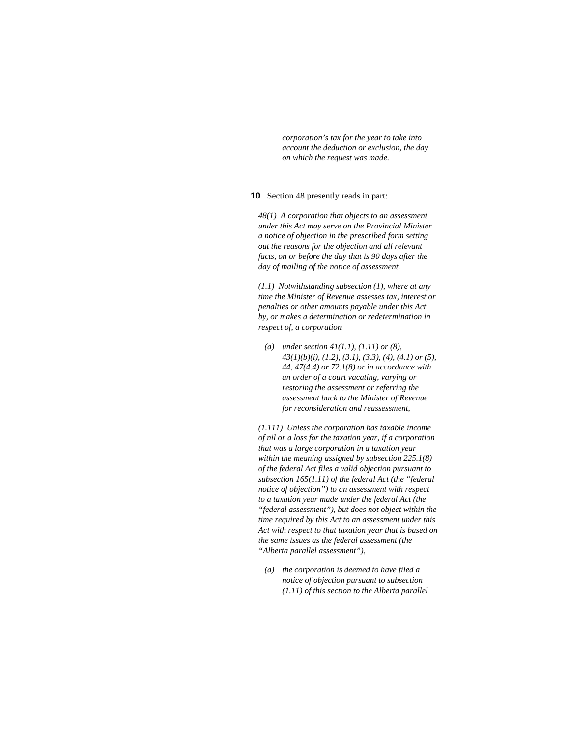*corporation's tax for the year to take into account the deduction or exclusion, the day on which the request was made.* 

### **10** Section 48 presently reads in part:

*48(1) A corporation that objects to an assessment under this Act may serve on the Provincial Minister a notice of objection in the prescribed form setting out the reasons for the objection and all relevant facts, on or before the day that is 90 days after the day of mailing of the notice of assessment.* 

*(1.1) Notwithstanding subsection (1), where at any time the Minister of Revenue assesses tax, interest or penalties or other amounts payable under this Act by, or makes a determination or redetermination in respect of, a corporation* 

 *(a) under section 41(1.1), (1.11) or (8), 43(1)(b)(i), (1.2), (3.1), (3.3), (4), (4.1) or (5), 44, 47(4.4) or 72.1(8) or in accordance with an order of a court vacating, varying or restoring the assessment or referring the assessment back to the Minister of Revenue for reconsideration and reassessment,* 

*(1.111) Unless the corporation has taxable income of nil or a loss for the taxation year, if a corporation that was a large corporation in a taxation year within the meaning assigned by subsection 225.1(8) of the federal Act files a valid objection pursuant to subsection 165(1.11) of the federal Act (the "federal notice of objection") to an assessment with respect to a taxation year made under the federal Act (the "federal assessment"), but does not object within the time required by this Act to an assessment under this Act with respect to that taxation year that is based on the same issues as the federal assessment (the "Alberta parallel assessment"),* 

 *(a) the corporation is deemed to have filed a notice of objection pursuant to subsection (1.11) of this section to the Alberta parallel*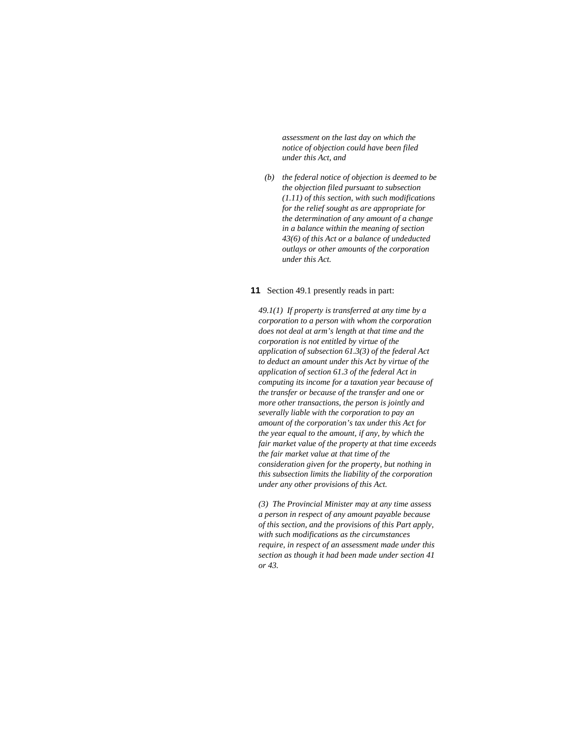*assessment on the last day on which the notice of objection could have been filed under this Act, and* 

 *(b) the federal notice of objection is deemed to be the objection filed pursuant to subsection (1.11) of this section, with such modifications for the relief sought as are appropriate for the determination of any amount of a change in a balance within the meaning of section 43(6) of this Act or a balance of undeducted outlays or other amounts of the corporation under this Act.* 

#### **11** Section 49.1 presently reads in part:

*49.1(1) If property is transferred at any time by a corporation to a person with whom the corporation does not deal at arm's length at that time and the corporation is not entitled by virtue of the application of subsection 61.3(3) of the federal Act to deduct an amount under this Act by virtue of the application of section 61.3 of the federal Act in computing its income for a taxation year because of the transfer or because of the transfer and one or more other transactions, the person is jointly and severally liable with the corporation to pay an amount of the corporation's tax under this Act for the year equal to the amount, if any, by which the fair market value of the property at that time exceeds the fair market value at that time of the consideration given for the property, but nothing in this subsection limits the liability of the corporation under any other provisions of this Act.* 

*(3) The Provincial Minister may at any time assess a person in respect of any amount payable because of this section, and the provisions of this Part apply, with such modifications as the circumstances require, in respect of an assessment made under this section as though it had been made under section 41 or 43.*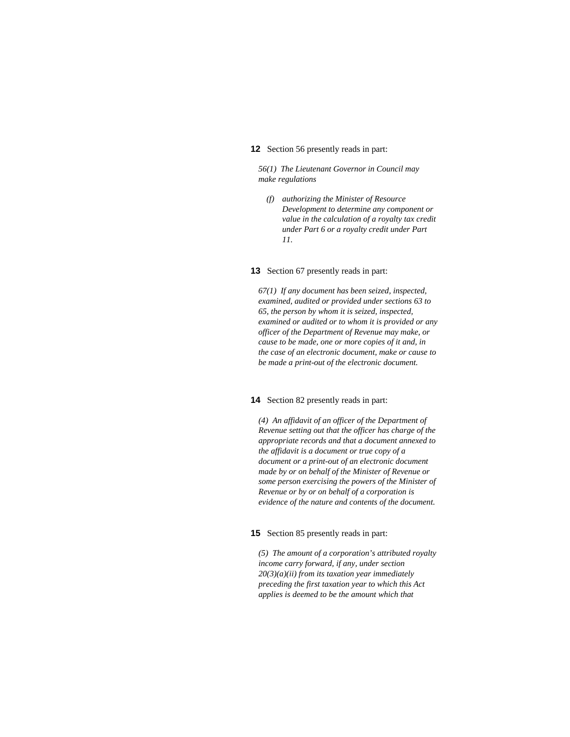### **12** Section 56 presently reads in part:

*56(1) The Lieutenant Governor in Council may make regulations* 

 *(f) authorizing the Minister of Resource Development to determine any component or value in the calculation of a royalty tax credit under Part 6 or a royalty credit under Part 11.* 

### **13** Section 67 presently reads in part:

*67(1) If any document has been seized, inspected, examined, audited or provided under sections 63 to 65, the person by whom it is seized, inspected, examined or audited or to whom it is provided or any officer of the Department of Revenue may make, or cause to be made, one or more copies of it and, in the case of an electronic document, make or cause to be made a print-out of the electronic document.* 

### **14** Section 82 presently reads in part:

*(4) An affidavit of an officer of the Department of Revenue setting out that the officer has charge of the appropriate records and that a document annexed to the affidavit is a document or true copy of a document or a print-out of an electronic document made by or on behalf of the Minister of Revenue or some person exercising the powers of the Minister of Revenue or by or on behalf of a corporation is evidence of the nature and contents of the document.* 

### **15** Section 85 presently reads in part:

*(5) The amount of a corporation's attributed royalty income carry forward, if any, under section 20(3)(a)(ii) from its taxation year immediately preceding the first taxation year to which this Act applies is deemed to be the amount which that*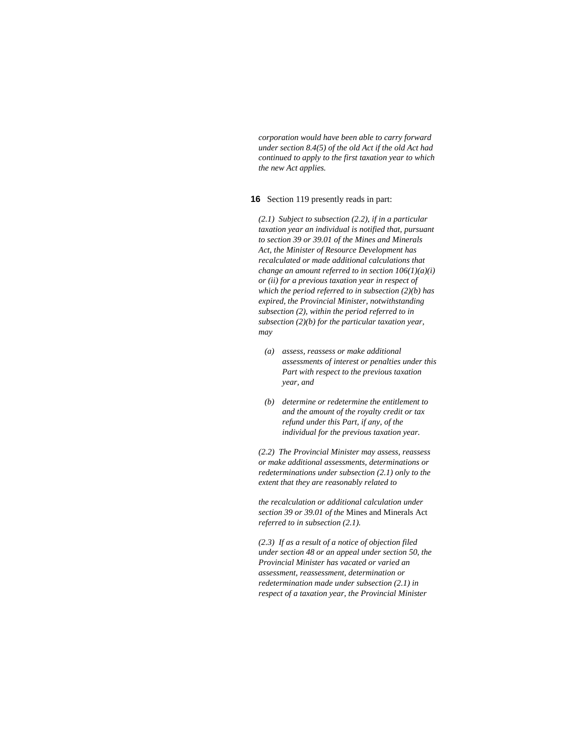*corporation would have been able to carry forward under section 8.4(5) of the old Act if the old Act had continued to apply to the first taxation year to which the new Act applies.* 

# **16** Section 119 presently reads in part:

*(2.1) Subject to subsection (2.2), if in a particular taxation year an individual is notified that, pursuant to section 39 or 39.01 of the Mines and Minerals Act, the Minister of Resource Development has recalculated or made additional calculations that change an amount referred to in section 106(1)(a)(i) or (ii) for a previous taxation year in respect of which the period referred to in subsection (2)(b) has expired, the Provincial Minister, notwithstanding subsection (2), within the period referred to in subsection (2)(b) for the particular taxation year, may* 

- *(a) assess, reassess or make additional assessments of interest or penalties under this Part with respect to the previous taxation year, and*
- *(b) determine or redetermine the entitlement to and the amount of the royalty credit or tax refund under this Part, if any, of the individual for the previous taxation year.*

*(2.2) The Provincial Minister may assess, reassess or make additional assessments, determinations or redeterminations under subsection (2.1) only to the extent that they are reasonably related to* 

*the recalculation or additional calculation under section 39 or 39.01 of the* Mines and Minerals Act *referred to in subsection (2.1).* 

*(2.3) If as a result of a notice of objection filed under section 48 or an appeal under section 50, the Provincial Minister has vacated or varied an assessment, reassessment, determination or redetermination made under subsection (2.1) in respect of a taxation year, the Provincial Minister*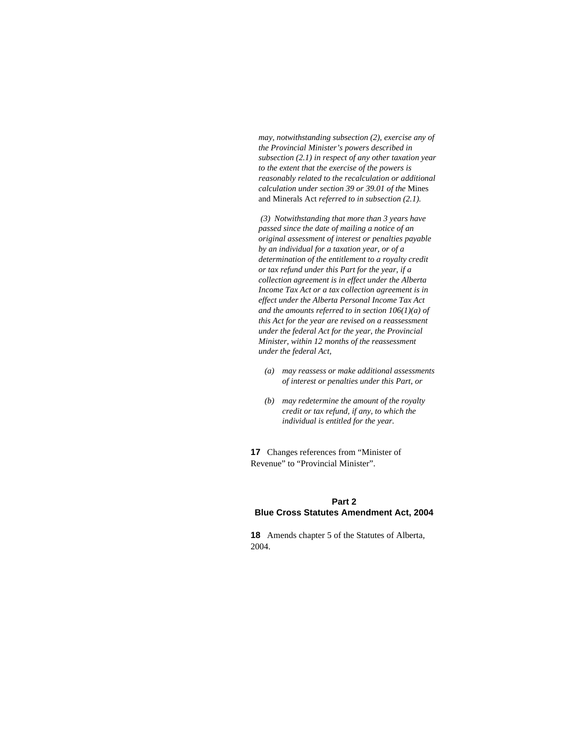*may, notwithstanding subsection (2), exercise any of the Provincial Minister's powers described in subsection (2.1) in respect of any other taxation year to the extent that the exercise of the powers is reasonably related to the recalculation or additional calculation under section 39 or 39.01 of the* Mines and Minerals Act *referred to in subsection (2.1).* 

 *(3) Notwithstanding that more than 3 years have passed since the date of mailing a notice of an original assessment of interest or penalties payable by an individual for a taxation year, or of a determination of the entitlement to a royalty credit or tax refund under this Part for the year, if a collection agreement is in effect under the Alberta Income Tax Act or a tax collection agreement is in effect under the Alberta Personal Income Tax Act and the amounts referred to in section 106(1)(a) of this Act for the year are revised on a reassessment under the federal Act for the year, the Provincial Minister, within 12 months of the reassessment under the federal Act,* 

- *(a) may reassess or make additional assessments of interest or penalties under this Part, or*
- *(b) may redetermine the amount of the royalty credit or tax refund, if any, to which the individual is entitled for the year.*

**17** Changes references from "Minister of Revenue" to "Provincial Minister".

## **Part 2**

### **Blue Cross Statutes Amendment Act, 2004**

**18** Amends chapter 5 of the Statutes of Alberta, 2004.